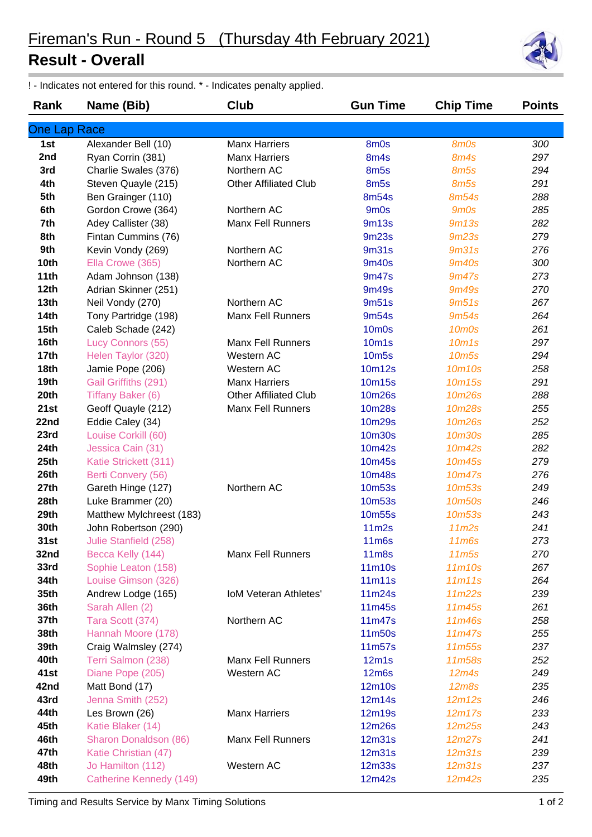## **Result - Overall**

! - Indicates not entered for this round. \* - Indicates penalty applied.

| Rank             | Name (Bib)                     | Club                         | <b>Gun Time</b>   | <b>Chip Time</b>               | <b>Points</b> |
|------------------|--------------------------------|------------------------------|-------------------|--------------------------------|---------------|
| One Lap Race     |                                |                              |                   |                                |               |
| 1st              | Alexander Bell (10)            | <b>Manx Harriers</b>         | 8m0s              | 8m0s                           | 300           |
| 2nd              | Ryan Corrin (381)              | <b>Manx Harriers</b>         | 8m4s              | 8m4s                           | 297           |
| 3rd              | Charlie Swales (376)           | Northern AC                  | 8m <sub>5s</sub>  | 8m5s                           | 294           |
| 4th              | Steven Quayle (215)            | <b>Other Affiliated Club</b> | 8m <sub>5s</sub>  | 8m5s                           | 291           |
| 5th              | Ben Grainger (110)             |                              | 8m54s             | 8m54s                          | 288           |
| 6th              | Gordon Crowe (364)             | Northern AC                  | 9 <sub>m</sub> Os | 9m0s                           | 285           |
| 7th              | Adey Callister (38)            | <b>Manx Fell Runners</b>     | <b>9m13s</b>      | 9m13s                          | 282           |
| 8th              | Fintan Cummins (76)            |                              | <b>9m23s</b>      | 9m23s                          | 279           |
| 9th              | Kevin Vondy (269)              | Northern AC                  | 9m31s             | 9 <sub>m31s</sub>              | 276           |
| 10th             | Ella Crowe (365)               | Northern AC                  | 9m40s             | <b>9m40s</b>                   | 300           |
| 11th             | Adam Johnson (138)             |                              | 9m47s             | 9m47s                          | 273           |
| 12th             | Adrian Skinner (251)           |                              | 9m49s             | <b>9m49s</b>                   | 270           |
| 13 <sub>th</sub> | Neil Vondy (270)               | Northern AC                  | 9m51s             | 9m51s                          | 267           |
| <b>14th</b>      | Tony Partridge (198)           | <b>Manx Fell Runners</b>     | 9m54s             | 9m54s                          | 264           |
| 15 <sub>th</sub> | Caleb Schade (242)             |                              | <b>10m0s</b>      | 10 <sub>m</sub> Os             | 261           |
| 16th             | Lucy Connors (55)              | <b>Manx Fell Runners</b>     | 10 <sub>m1s</sub> | 10 <sub>m</sub> 1 <sub>s</sub> | 297           |
| 17th             | Helen Taylor (320)             | Western AC                   | <b>10m5s</b>      | 10 <sub>m5s</sub>              | 294           |
| <b>18th</b>      | Jamie Pope (206)               | Western AC                   | 10m12s            | 10m10s                         | 258           |
| 19th             | Gail Griffiths (291)           | <b>Manx Harriers</b>         | 10m15s            | 10m15s                         | 291           |
| 20th             | Tiffany Baker (6)              | <b>Other Affiliated Club</b> | 10m26s            | 10m26s                         | 288           |
| 21st             | Geoff Quayle (212)             | <b>Manx Fell Runners</b>     | 10m28s            | 10m28s                         | 255           |
| 22nd             | Eddie Caley (34)               |                              | 10m29s            | 10m26s                         | 252           |
| 23rd             | Louise Corkill (60)            |                              | <b>10m30s</b>     | 10m30s                         | 285           |
| 24th             | Jessica Cain (31)              |                              | 10m42s            | 10m42s                         | 282           |
| 25th             | Katie Strickett (311)          |                              | 10m45s            | 10m45s                         | 279           |
| 26th             | Berti Convery (56)             |                              | <b>10m48s</b>     | 10m47s                         | 276           |
| 27th             | Gareth Hinge (127)             | Northern AC                  | 10m53s            | 10m <sub>53s</sub>             | 249           |
| 28th             | Luke Brammer (20)              |                              | <b>10m53s</b>     | 10m50s                         | 246           |
| 29th             | Matthew Mylchreest (183)       |                              | <b>10m55s</b>     | <b>10m53s</b>                  | 243           |
| 30th             | John Robertson (290)           |                              | 11 <sub>m2s</sub> | 11 <sub>m2s</sub>              | 241           |
| 31st             | Julie Stanfield (258)          |                              | 11m6s             | 11 <sub>m6s</sub>              | 273           |
| 32nd             | Becca Kelly (144)              | <b>Manx Fell Runners</b>     | <b>11m8s</b>      | 11 <sub>m5s</sub>              | 270           |
| 33rd             | Sophie Leaton (158)            |                              | 11m10s            | 11m10s                         | 267           |
| 34th             | Louise Gimson (326)            |                              | 11m11s            | 11m11s                         | 264           |
| 35th             | Andrew Lodge (165)             | <b>IoM Veteran Athletes'</b> | 11m24s            | 11m22s                         | 239           |
| 36th             | Sarah Allen (2)                |                              | 11m45s            | 11m45s                         | 261           |
| 37th             | Tara Scott (374)               | Northern AC                  | 11m47s            | 11m46s                         | 258           |
| 38th             | Hannah Moore (178)             |                              | 11m50s            | 11m47s                         | 255           |
| 39th             | Craig Walmsley (274)           |                              | 11m57s            | 11m55s                         | 237           |
| 40th             | Terri Salmon (238)             | <b>Manx Fell Runners</b>     | 12m1s             | 11m58s                         | 252           |
| 41st             | Diane Pope (205)               | Western AC                   | <b>12m6s</b>      | 12m4s                          | 249           |
| 42nd             | Matt Bond (17)                 |                              | 12m10s            | <b>12m8s</b>                   | 235           |
| 43rd             | Jenna Smith (252)              |                              | 12m14s            | 12m12s                         | 246           |
| 44th             | Les Brown (26)                 | <b>Manx Harriers</b>         | 12m19s            | 12m17s                         | 233           |
| 45th             | Katie Blaker (14)              |                              | 12m26s            | 12m25s                         | 243           |
| 46th             | Sharon Donaldson (86)          | <b>Manx Fell Runners</b>     | 12m31s            | 12m27s                         | 241           |
| 47th             | Katie Christian (47)           |                              | 12m31s            | 12m31s                         | 239           |
| 48th             | Jo Hamilton (112)              | Western AC                   | 12m33s            | 12m31s                         | 237           |
| 49th             | <b>Catherine Kennedy (149)</b> |                              | 12m42s            | 12m42s                         | 235           |